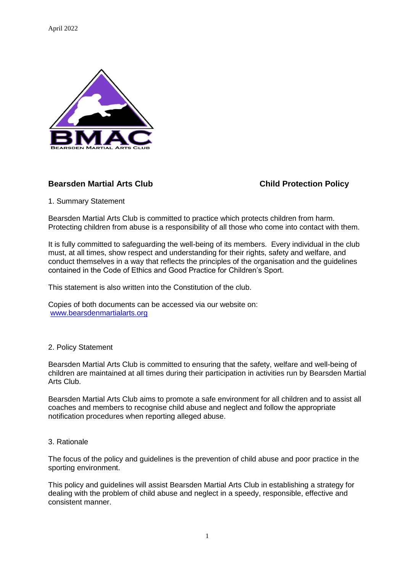April 2022



# **Bearsden Martial Arts Club Child Protection Policy**

1. Summary Statement

Bearsden Martial Arts Club is committed to practice which protects children from harm. Protecting children from abuse is a responsibility of all those who come into contact with them.

It is fully committed to safeguarding the well-being of its members. Every individual in the club must, at all times, show respect and understanding for their rights, safety and welfare, and conduct themselves in a way that reflects the principles of the organisation and the guidelines contained in the Code of Ethics and Good Practice for Children's Sport.

This statement is also written into the Constitution of the club.

Copies of both documents can be accessed via our website on: [www.bearsdenmartialarts.org](http://www.bearsdenmartialarts.org/)

### 2. Policy Statement

Bearsden Martial Arts Club is committed to ensuring that the safety, welfare and well-being of children are maintained at all times during their participation in activities run by Bearsden Martial Arts Club.

Bearsden Martial Arts Club aims to promote a safe environment for all children and to assist all coaches and members to recognise child abuse and neglect and follow the appropriate notification procedures when reporting alleged abuse.

### 3. Rationale

The focus of the policy and guidelines is the prevention of child abuse and poor practice in the sporting environment.

This policy and guidelines will assist Bearsden Martial Arts Club in establishing a strategy for dealing with the problem of child abuse and neglect in a speedy, responsible, effective and consistent manner.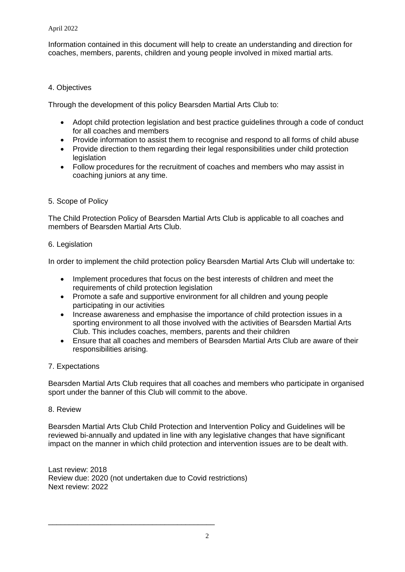Information contained in this document will help to create an understanding and direction for coaches, members, parents, children and young people involved in mixed martial arts.

# 4. Objectives

Through the development of this policy Bearsden Martial Arts Club to:

- Adopt child protection legislation and best practice guidelines through a code of conduct for all coaches and members
- Provide information to assist them to recognise and respond to all forms of child abuse
- Provide direction to them regarding their legal responsibilities under child protection legislation
- Follow procedures for the recruitment of coaches and members who may assist in coaching juniors at any time.

# 5. Scope of Policy

The Child Protection Policy of Bearsden Martial Arts Club is applicable to all coaches and members of Bearsden Martial Arts Club.

## 6. Legislation

In order to implement the child protection policy Bearsden Martial Arts Club will undertake to:

- Implement procedures that focus on the best interests of children and meet the requirements of child protection legislation
- Promote a safe and supportive environment for all children and young people participating in our activities
- Increase awareness and emphasise the importance of child protection issues in a sporting environment to all those involved with the activities of Bearsden Martial Arts Club. This includes coaches, members, parents and their children
- Ensure that all coaches and members of Bearsden Martial Arts Club are aware of their responsibilities arising.

# 7. Expectations

Bearsden Martial Arts Club requires that all coaches and members who participate in organised sport under the banner of this Club will commit to the above.

### 8. Review

Bearsden Martial Arts Club Child Protection and Intervention Policy and Guidelines will be reviewed bi-annually and updated in line with any legislative changes that have significant impact on the manner in which child protection and intervention issues are to be dealt with.

Last review: 2018 Review due: 2020 (not undertaken due to Covid restrictions) Next review: 2022

\_\_\_\_\_\_\_\_\_\_\_\_\_\_\_\_\_\_\_\_\_\_\_\_\_\_\_\_\_\_\_\_\_\_\_\_\_\_\_\_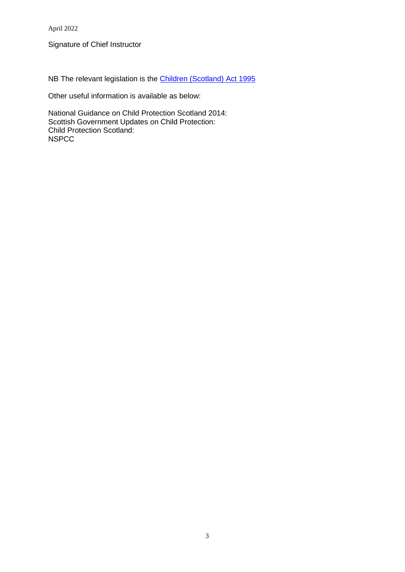April 2022

Signature of Chief Instructor

NB The relevant legislation is the [Children \(Scotland\)](http://www.legislation.gov.uk/ukpga/1995/36) Act 1995

Other useful information is available as below:

National Guidance on Child Protection Scotland 2014: Scottish Government Updates on Child Protection: Child Protection Scotland: **NSPCC**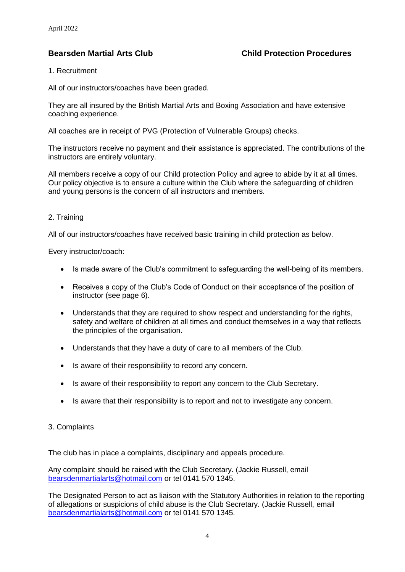## **Bearsden Martial Arts Club Child Protection Procedures**

#### 1. Recruitment

All of our instructors/coaches have been graded.

They are all insured by the British Martial Arts and Boxing Association and have extensive coaching experience.

All coaches are in receipt of PVG (Protection of Vulnerable Groups) checks.

The instructors receive no payment and their assistance is appreciated. The contributions of the instructors are entirely voluntary.

All members receive a copy of our Child protection Policy and agree to abide by it at all times. Our policy objective is to ensure a culture within the Club where the safeguarding of children and young persons is the concern of all instructors and members.

### 2. Training

All of our instructors/coaches have received basic training in child protection as below.

Every instructor/coach:

- Is made aware of the Club's commitment to safeguarding the well-being of its members.
- Receives a copy of the Club's Code of Conduct on their acceptance of the position of instructor (see page 6).
- Understands that they are required to show respect and understanding for the rights, safety and welfare of children at all times and conduct themselves in a way that reflects the principles of the organisation.
- Understands that they have a duty of care to all members of the Club.
- Is aware of their responsibility to record any concern.
- Is aware of their responsibility to report any concern to the Club Secretary.
- Is aware that their responsibility is to report and not to investigate any concern.

### 3. Complaints

The club has in place a complaints, disciplinary and appeals procedure.

Any complaint should be raised with the Club Secretary. (Jackie Russell, email [bearsdenmartialarts@hotmail.com](mailto:bearsdenmartialarts@hotmail.com) or tel 0141 570 1345.

The Designated Person to act as liaison with the Statutory Authorities in relation to the reporting of allegations or suspicions of child abuse is the Club Secretary. (Jackie Russell, email [bearsdenmartialarts@hotmail.com](mailto:bearsdenmartialarts@hotmail.com) or tel 0141 570 1345.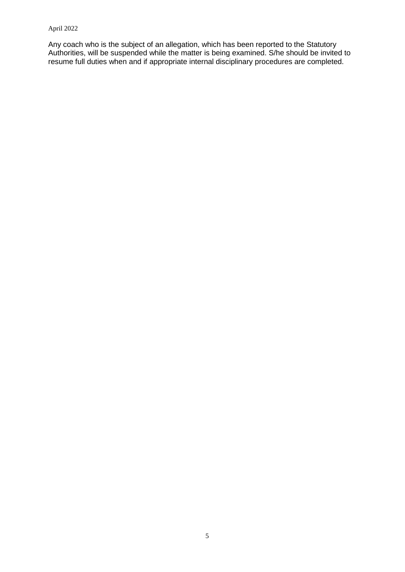#### April 2022

Any coach who is the subject of an allegation, which has been reported to the Statutory Authorities, will be suspended while the matter is being examined. S/he should be invited to resume full duties when and if appropriate internal disciplinary procedures are completed.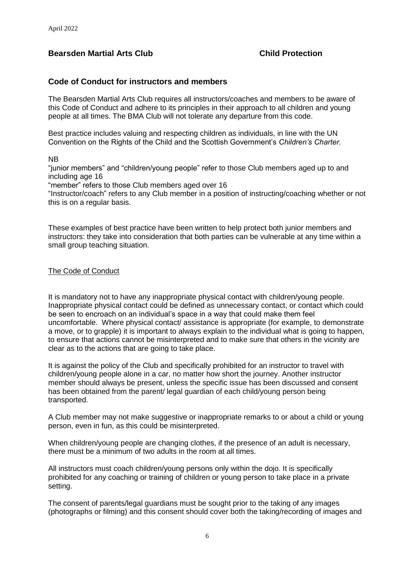# **Bearsden Martial Arts Club Child Protection**

## **Code of Conduct for instructors and members**

The Bearsden Martial Arts Club requires all instructors/coaches and members to be aware of this Code of Conduct and adhere to its principles in their approach to all children and young people at all times. The BMA Club will not tolerate any departure from this code.

Best practice includes valuing and respecting children as individuals, in line with the UN Convention on the Rights of the Child and the Scottish Government's *Children's Charter.*

#### NB

"junior members" and "children/young people" refer to those Club members aged up to and including age 16

"member" refers to those Club members aged over 16

"Instructor/coach" refers to any Club member in a position of instructing/coaching whether or not this is on a regular basis.

These examples of best practice have been written to help protect both junior members and instructors: they take into consideration that both parties can be vulnerable at any time within a small group teaching situation.

#### The Code of Conduct

It is mandatory not to have any inappropriate physical contact with children/young people. Inappropriate physical contact could be defined as unnecessary contact, or contact which could be seen to encroach on an individual's space in a way that could make them feel uncomfortable. Where physical contact/ assistance is appropriate (for example, to demonstrate a move, or to grapple) it is important to always explain to the individual what is going to happen, to ensure that actions cannot be misinterpreted and to make sure that others in the vicinity are clear as to the actions that are going to take place.

It is against the policy of the Club and specifically prohibited for an instructor to travel with children/young people alone in a car, no matter how short the journey. Another instructor member should always be present, unless the specific issue has been discussed and consent has been obtained from the parent/ legal guardian of each child/young person being transported.

A Club member may not make suggestive or inappropriate remarks to or about a child or young person, even in fun, as this could be misinterpreted.

When children/young people are changing clothes, if the presence of an adult is necessary, there must be a minimum of two adults in the room at all times.

All instructors must coach children/young persons only within the dojo. It is specifically prohibited for any coaching or training of children or young person to take place in a private setting.

The consent of parents/legal guardians must be sought prior to the taking of any images (photographs or filming) and this consent should cover both the taking/recording of images and